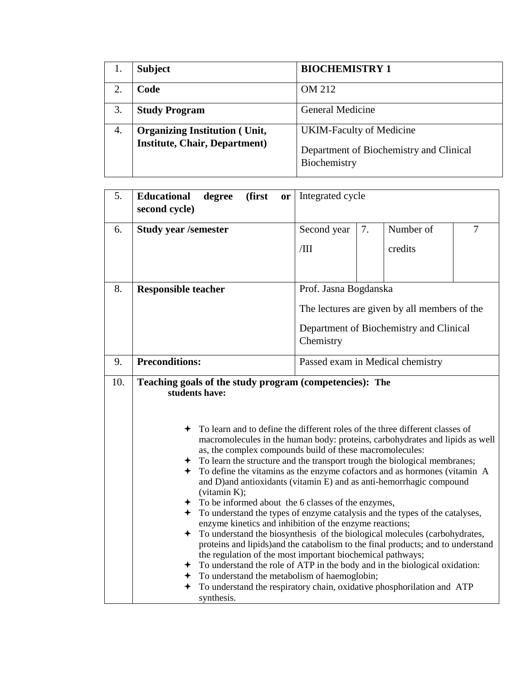|    | <b>Subject</b>                       | <b>BIOCHEMISTRY 1</b>                                   |
|----|--------------------------------------|---------------------------------------------------------|
|    | Code                                 | OM 212                                                  |
| 3. | <b>Study Program</b>                 | <b>General Medicine</b>                                 |
| 4. | <b>Organizing Institution (Unit,</b> | <b>UKIM-Faculty of Medicine</b>                         |
|    | <b>Institute, Chair, Department)</b> | Department of Biochemistry and Clinical<br>Biochemistry |

| 5. | <b>Educational</b><br>(first<br>degree<br>or<br>second cycle)                                                                                                                                                                                                                                                                                                                                                                                                                                                                                                                                                                                                                                                                                                                                                                                                                                                                                                                                                                                                                                                                                                                                                                       | Integrated cycle                                     |    |           |                |  |
|----|-------------------------------------------------------------------------------------------------------------------------------------------------------------------------------------------------------------------------------------------------------------------------------------------------------------------------------------------------------------------------------------------------------------------------------------------------------------------------------------------------------------------------------------------------------------------------------------------------------------------------------------------------------------------------------------------------------------------------------------------------------------------------------------------------------------------------------------------------------------------------------------------------------------------------------------------------------------------------------------------------------------------------------------------------------------------------------------------------------------------------------------------------------------------------------------------------------------------------------------|------------------------------------------------------|----|-----------|----------------|--|
| 6. | <b>Study year /semester</b>                                                                                                                                                                                                                                                                                                                                                                                                                                                                                                                                                                                                                                                                                                                                                                                                                                                                                                                                                                                                                                                                                                                                                                                                         | Second year                                          | 7. | Number of | $\overline{7}$ |  |
|    |                                                                                                                                                                                                                                                                                                                                                                                                                                                                                                                                                                                                                                                                                                                                                                                                                                                                                                                                                                                                                                                                                                                                                                                                                                     | /III                                                 |    | credits   |                |  |
| 8. | <b>Responsible teacher</b>                                                                                                                                                                                                                                                                                                                                                                                                                                                                                                                                                                                                                                                                                                                                                                                                                                                                                                                                                                                                                                                                                                                                                                                                          | Prof. Jasna Bogdanska                                |    |           |                |  |
|    |                                                                                                                                                                                                                                                                                                                                                                                                                                                                                                                                                                                                                                                                                                                                                                                                                                                                                                                                                                                                                                                                                                                                                                                                                                     | The lectures are given by all members of the         |    |           |                |  |
|    |                                                                                                                                                                                                                                                                                                                                                                                                                                                                                                                                                                                                                                                                                                                                                                                                                                                                                                                                                                                                                                                                                                                                                                                                                                     | Department of Biochemistry and Clinical<br>Chemistry |    |           |                |  |
| 9. | <b>Preconditions:</b>                                                                                                                                                                                                                                                                                                                                                                                                                                                                                                                                                                                                                                                                                                                                                                                                                                                                                                                                                                                                                                                                                                                                                                                                               | Passed exam in Medical chemistry                     |    |           |                |  |
|    | 10.<br>Teaching goals of the study program (competencies): The<br>students have:<br>To learn and to define the different roles of the three different classes of<br>macromolecules in the human body: proteins, carbohydrates and lipids as well<br>as, the complex compounds build of these macromolecules:<br>To learn the structure and the transport trough the biological membranes;<br>$\div$ To define the vitamins as the enzyme cofactors and as hormones (vitamin A<br>and D)and antioxidants (vitamin E) and as anti-hemorrhagic compound<br>(vitamin K);<br>$\div$ To be informed about the 6 classes of the enzymes,<br>To understand the types of enzyme catalysis and the types of the catalyses,<br>enzyme kinetics and inhibition of the enzyme reactions;<br>+ To understand the biosynthesis of the biological molecules (carbohydrates,<br>proteins and lipids) and the catabolism to the final products; and to understand<br>the regulation of the most important biochemical pathways;<br>To understand the role of ATP in the body and in the biological oxidation:<br>To understand the metabolism of haemoglobin;<br>To understand the respiratory chain, oxidative phosphorilation and ATP<br>synthesis. |                                                      |    |           |                |  |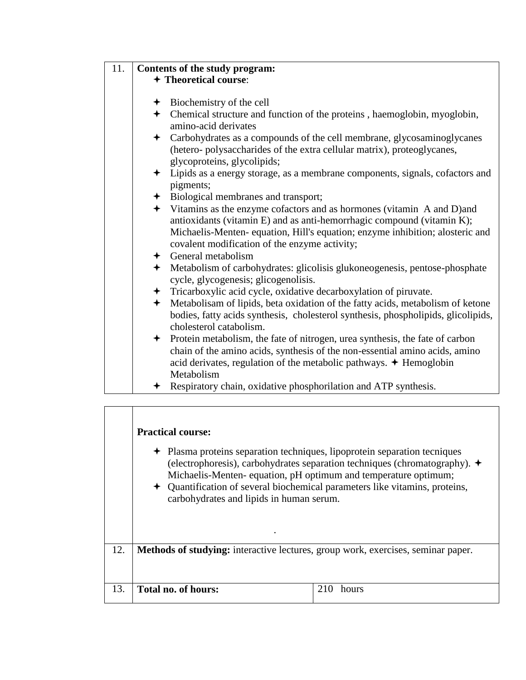| 11. |                                       | Contents of the study program:                                                                                                                                                                                                                              |  |  |  |  |  |  |
|-----|---------------------------------------|-------------------------------------------------------------------------------------------------------------------------------------------------------------------------------------------------------------------------------------------------------------|--|--|--|--|--|--|
|     | + Theoretical course:                 |                                                                                                                                                                                                                                                             |  |  |  |  |  |  |
|     |                                       |                                                                                                                                                                                                                                                             |  |  |  |  |  |  |
|     |                                       | $\div$ Biochemistry of the cell                                                                                                                                                                                                                             |  |  |  |  |  |  |
|     |                                       | + Chemical structure and function of the proteins, haemoglobin, myoglobin,<br>amino-acid derivates                                                                                                                                                          |  |  |  |  |  |  |
|     |                                       | + Carbohydrates as a compounds of the cell membrane, glycosaminoglycanes                                                                                                                                                                                    |  |  |  |  |  |  |
|     |                                       | (hetero-polysaccharides of the extra cellular matrix), proteoglycanes,<br>glycoproteins, glycolipids;                                                                                                                                                       |  |  |  |  |  |  |
|     | $\ddotmark$                           | Lipids as a energy storage, as a membrane components, signals, cofactors and                                                                                                                                                                                |  |  |  |  |  |  |
|     |                                       | pigments;                                                                                                                                                                                                                                                   |  |  |  |  |  |  |
|     | + Biological membranes and transport; |                                                                                                                                                                                                                                                             |  |  |  |  |  |  |
|     |                                       | + Vitamins as the enzyme cofactors and as hormones (vitamin A and D) and                                                                                                                                                                                    |  |  |  |  |  |  |
|     |                                       | antioxidants (vitamin E) and as anti-hemorrhagic compound (vitamin K);                                                                                                                                                                                      |  |  |  |  |  |  |
|     |                                       | Michaelis-Menten- equation, Hill's equation; enzyme inhibition; alosteric and<br>covalent modification of the enzyme activity;                                                                                                                              |  |  |  |  |  |  |
|     |                                       | $\leftarrow$ General metabolism                                                                                                                                                                                                                             |  |  |  |  |  |  |
|     |                                       | Metabolism of carbohydrates: glicolisis glukoneogenesis, pentose-phosphate<br>cycle, glycogenesis; glicogenolisis.                                                                                                                                          |  |  |  |  |  |  |
|     |                                       | + Tricarboxylic acid cycle, oxidative decarboxylation of piruvate.                                                                                                                                                                                          |  |  |  |  |  |  |
|     |                                       | Metabolisam of lipids, beta oxidation of the fatty acids, metabolism of ketone<br>bodies, fatty acids synthesis, cholesterol synthesis, phospholipids, glicolipids,<br>cholesterol catabolism.                                                              |  |  |  |  |  |  |
|     |                                       | ← Protein metabolism, the fate of nitrogen, urea synthesis, the fate of carbon<br>chain of the amino acids, synthesis of the non-essential amino acids, amino<br>acid derivates, regulation of the metabolic pathways. $\triangle$ Hemoglobin<br>Metabolism |  |  |  |  |  |  |
|     |                                       | ← Respiratory chain, oxidative phosphorilation and ATP synthesis.                                                                                                                                                                                           |  |  |  |  |  |  |

|     | <b>Practical course:</b><br>• Plasma proteins separation techniques, lipoprotein separation tecniques<br>(electrophoresis), carbohydrates separation techniques (chromatography). $\rightarrow$<br>Michaelis-Menten-equation, pH optimum and temperature optimum;<br>+ Quantification of several biochemical parameters like vitamins, proteins,<br>carbohydrates and lipids in human serum. |       |  |  |  |  |
|-----|----------------------------------------------------------------------------------------------------------------------------------------------------------------------------------------------------------------------------------------------------------------------------------------------------------------------------------------------------------------------------------------------|-------|--|--|--|--|
| 12. | <b>Methods of studying:</b> interactive lectures, group work, exercises, seminar paper.                                                                                                                                                                                                                                                                                                      |       |  |  |  |  |
| 13. | Total no. of hours:                                                                                                                                                                                                                                                                                                                                                                          | hours |  |  |  |  |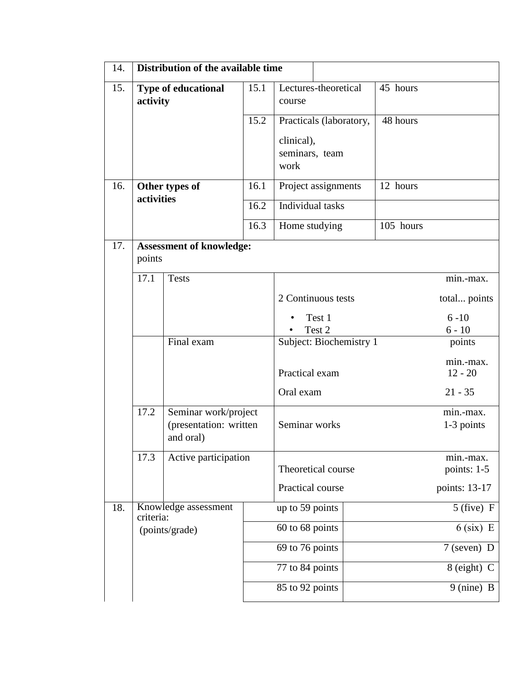| 14. | Distribution of the available time                                                                  |                      |                  |                                      |                         |                        |                          |
|-----|-----------------------------------------------------------------------------------------------------|----------------------|------------------|--------------------------------------|-------------------------|------------------------|--------------------------|
| 15. | <b>Type of educational</b><br>activity                                                              |                      | 15.1             | course                               | Lectures-theoretical    | 45 hours               |                          |
|     |                                                                                                     |                      | 15.2             |                                      | Practicals (laboratory, | 48 hours               |                          |
|     |                                                                                                     |                      |                  | clinical),<br>seminars, team<br>work |                         |                        |                          |
| 16. | Other types of<br>activities                                                                        |                      | 16.1             |                                      | Project assignments     | 12 hours               |                          |
|     |                                                                                                     |                      | 16.2             | Individual tasks                     |                         |                        |                          |
|     |                                                                                                     |                      | 16.3             | Home studying                        |                         | 105 hours              |                          |
| 17. | <b>Assessment of knowledge:</b><br>points                                                           |                      |                  |                                      |                         |                        |                          |
|     | 17.1                                                                                                | <b>Tests</b>         |                  |                                      |                         |                        | min.-max.                |
|     |                                                                                                     |                      |                  |                                      | 2 Continuous tests      |                        | total points             |
|     | Final exam                                                                                          |                      |                  | Test 1<br>Test 2                     |                         | $6 - 10$<br>$6 - 10$   |                          |
|     |                                                                                                     |                      |                  | Subject: Biochemistry 1              |                         | points                 |                          |
|     |                                                                                                     |                      | Practical exam   |                                      |                         | min.-max.<br>$12 - 20$ |                          |
|     |                                                                                                     |                      |                  | Oral exam                            |                         |                        | $21 - 35$                |
|     | 17.2<br>Seminar work/project<br>(presentation: written<br>and oral)<br>17.3<br>Active participation |                      |                  | Seminar works                        |                         |                        | min.-max.<br>1-3 points  |
|     |                                                                                                     |                      |                  |                                      | Theoretical course      |                        | min.-max.<br>points: 1-5 |
|     |                                                                                                     |                      | Practical course |                                      |                         | points: 13-17          |                          |
| 18. | criteria:                                                                                           | Knowledge assessment |                  | up to 59 points                      |                         |                        | $5$ (five) F             |
|     | (points/grade)                                                                                      |                      | 60 to 68 points  |                                      |                         | $6$ (six) E            |                          |
|     |                                                                                                     |                      |                  | 69 to 76 points                      |                         |                        | $7$ (seven) D            |
|     |                                                                                                     |                      |                  | 77 to 84 points                      |                         |                        | 8 (eight) C              |
|     |                                                                                                     |                      | 85 to 92 points  |                                      |                         | 9 (nine) B             |                          |